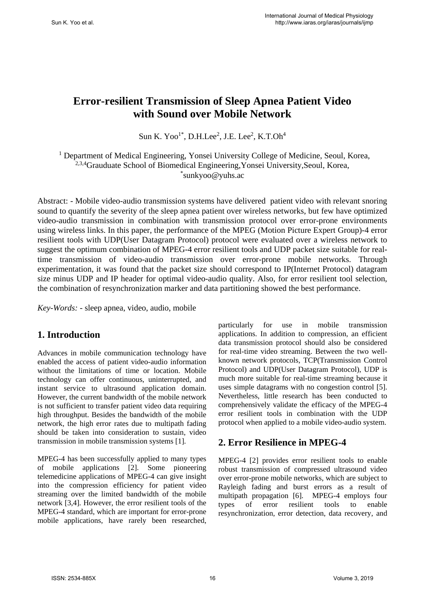# **Error-resilient Transmission of Sleep Apnea Patient Video with Sound over Mobile Network**

Sun K. Yoo<sup>1\*</sup>, D.H.Lee<sup>2</sup>, J.E. Lee<sup>2</sup>, K.T.Oh<sup>4</sup>

<sup>1</sup> Department of Medical Engineering, Yonsei University College of Medicine, Seoul, Korea, <sup>2,3,4</sup>Grauduate School of Biomedical Engineering, Yonsei University, Seoul, Korea, \* sunkyoo@yuhs.ac

Abstract: - Mobile video-audio transmission systems have delivered patient video with relevant snoring sound to quantify the severity of the sleep apnea patient over wireless networks, but few have optimized video-audio transmission in combination with transmission protocol over error-prone environments using wireless links. In this paper, the performance of the MPEG (Motion Picture Expert Group)-4 error resilient tools with UDP(User Datagram Protocol) protocol were evaluated over a wireless network to suggest the optimum combination of MPEG-4 error resilient tools and UDP packet size suitable for realtime transmission of video-audio transmission over error-prone mobile networks. Through experimentation, it was found that the packet size should correspond to IP(Internet Protocol) datagram size minus UDP and IP header for optimal video-audio quality. Also, for error resilient tool selection, the combination of resynchronization marker and data partitioning showed the best performance.

*Key-Words: -* sleep apnea, video, audio, mobile

### **1. Introduction**

Advances in mobile communication technology have enabled the access of patient video-audio information without the limitations of time or location. Mobile technology can offer continuous, uninterrupted, and instant service to ultrasound application domain. However, the current bandwidth of the mobile network is not sufficient to transfer patient video data requiring high throughput. Besides the bandwidth of the mobile network, the high error rates due to multipath fading should be taken into consideration to sustain, video transmission in mobile transmission systems [1].

MPEG-4 has been successfully applied to many types of mobile applications [2]. Some pioneering telemedicine applications of MPEG-4 can give insight into the compression efficiency for patient video streaming over the limited bandwidth of the mobile network [3,4]. However, the error resilient tools of the MPEG-4 standard, which are important for error-prone mobile applications, have rarely been researched,

particularly for use in mobile transmission applications. In addition to compression, an efficient data transmission protocol should also be considered for real-time video streaming. Between the two wellknown network protocols, TCP(Transmission Control Protocol) and UDP(User Datagram Protocol), UDP is much more suitable for real-time streaming because it uses simple datagrams with no congestion control [5]. Nevertheless, little research has been conducted to comprehensively validate the efficacy of the MPEG-4 error resilient tools in combination with the UDP protocol when applied to a mobile video-audio system.

### **2. Error Resilience in MPEG-4**

MPEG-4 [2] provides error resilient tools to enable robust transmission of compressed ultrasound video over error-prone mobile networks, which are subject to Rayleigh fading and burst errors as a result of multipath propagation [6]. MPEG-4 employs four types of error resilient tools to enable resynchronization, error detection, data recovery, and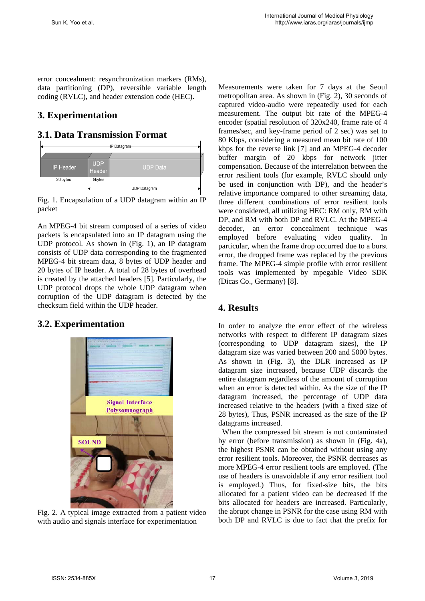error concealment: resynchronization markers (RMs), data partitioning (DP), reversible variable length coding (RVLC), and header extension code (HEC).

## **3. Experimentation**

### **3.1. Data Transmission Format**



Fig. 1. Encapsulation of a UDP datagram within an IP packet

An MPEG-4 bit stream composed of a series of video packets is encapsulated into an IP datagram using the UDP protocol. As shown in (Fig. 1), an IP datagram consists of UDP data corresponding to the fragmented MPEG-4 bit stream data, 8 bytes of UDP header and 20 bytes of IP header. A total of 28 bytes of overhead is created by the attached headers [5]. Particularly, the UDP protocol drops the whole UDP datagram when corruption of the UDP datagram is detected by the checksum field within the UDP header.

### **3.2. Experimentation**



Fig. 2. A typical image extracted from a patient video with audio and signals interface for experimentation

Measurements were taken for 7 days at the Seoul metropolitan area. As shown in (Fig. 2), 30 seconds of captured video-audio were repeatedly used for each measurement. The output bit rate of the MPEG-4 encoder (spatial resolution of 320x240, frame rate of 4 frames/sec, and key-frame period of 2 sec) was set to 80 Kbps, considering a measured mean bit rate of 100 kbps for the reverse link [7] and an MPEG-4 decoder buffer margin of 20 kbps for network jitter compensation. Because of the interrelation between the error resilient tools (for example, RVLC should only be used in conjunction with DP), and the header's relative importance compared to other streaming data, three different combinations of error resilient tools were considered, all utilizing HEC: RM only, RM with DP, and RM with both DP and RVLC. At the MPEG-4 decoder, an error concealment technique was employed before evaluating video quality. In particular, when the frame drop occurred due to a burst error, the dropped frame was replaced by the previous frame. The MPEG-4 simple profile with error resilient tools was implemented by mpegable Video SDK (Dicas Co., Germany) [8].

### **4. Results**

In order to analyze the error effect of the wireless networks with respect to different IP datagram sizes (corresponding to UDP datagram sizes), the IP datagram size was varied between 200 and 5000 bytes. As shown in (Fig. 3), the DLR increased as IP datagram size increased, because UDP discards the entire datagram regardless of the amount of corruption when an error is detected within. As the size of the IP datagram increased, the percentage of UDP data increased relative to the headers (with a fixed size of 28 bytes), Thus, PSNR increased as the size of the IP datagrams increased.

When the compressed bit stream is not contaminated by error (before transmission) as shown in (Fig. 4a), the highest PSNR can be obtained without using any error resilient tools. Moreover, the PSNR decreases as more MPEG-4 error resilient tools are employed. (The use of headers is unavoidable if any error resilient tool is employed.) Thus, for fixed-size bits, the bits allocated for a patient video can be decreased if the bits allocated for headers are increased. Particularly, the abrupt change in PSNR for the case using RM with both DP and RVLC is due to fact that the prefix for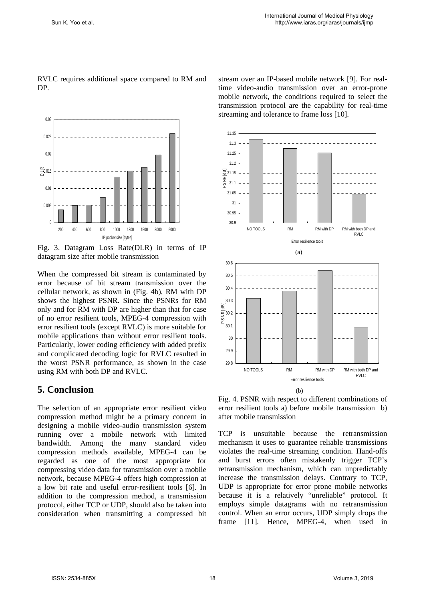0 0.005  $0.01$ ≅0.015<br>— 0.02 0.025  $0.03$ 200 400 600 800 1000 1300 1500 3000 5000 IP packet size [bytes]

RVLC requires additional space compared to RM and DP.

Fig. 3. Datagram Loss Rate(DLR) in terms of IP datagram size after mobile transmission

When the compressed bit stream is contaminated by error because of bit stream transmission over the cellular network, as shown in (Fig. 4b), RM with DP shows the highest PSNR. Since the PSNRs for RM only and for RM with DP are higher than that for case of no error resilient tools, MPEG-4 compression with error resilient tools (except RVLC) is more suitable for mobile applications than without error resilient tools. Particularly, lower coding efficiency with added prefix and complicated decoding logic for RVLC resulted in the worst PSNR performance, as shown in the case using RM with both DP and RVLC.

#### **5. Conclusion**

The selection of an appropriate error resilient video compression method might be a primary concern in designing a mobile video-audio transmission system running over a mobile network with limited bandwidth. Among the many standard video compression methods available, MPEG-4 can be regarded as one of the most appropriate for compressing video data for transmission over a mobile network, because MPEG-4 offers high compression at a low bit rate and useful error-resilient tools [6]. In addition to the compression method, a transmission protocol, either TCP or UDP, should also be taken into consideration when transmitting a compressed bit stream over an IP-based mobile network [9]. For realtime video-audio transmission over an error-prone mobile network, the conditions required to select the transmission protocol are the capability for real-time streaming and tolerance to frame loss [10].



Fig. 4. PSNR with respect to different combinations of error resilient tools a) before mobile transmission b) after mobile transmission

TCP is unsuitable because the retransmission mechanism it uses to guarantee reliable transmissions violates the real-time streaming condition. Hand-offs and burst errors often mistakenly trigger TCP's retransmission mechanism, which can unpredictably increase the transmission delays. Contrary to TCP, UDP is appropriate for error prone mobile networks because it is a relatively "unreliable" protocol. It employs simple datagrams with no retransmission control. When an error occurs, UDP simply drops the frame [11]. Hence, MPEG-4, when used in